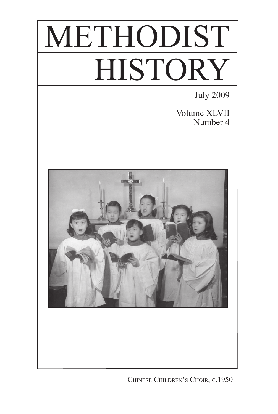# METHODIST **HISTORY**

July 2009

Volume XLVII Number 4



Chinese Children's Choir, c.1950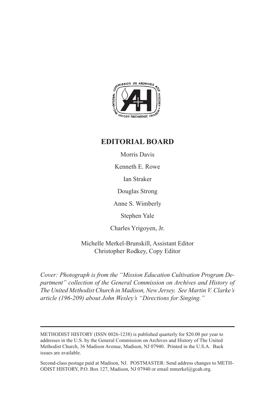

### **EDITORIAL BOARD**

Morris Davis

Kenneth E. Rowe

Ian Straker

Douglas Strong

Anne S. Wimberly

Stephen Yale

Charles Yrigoyen, Jr.

Michelle Merkel-Brunskill, Assistant Editor Christopher Rodkey, Copy Editor

*Cover: Photograph is from the "Mission Education Cultivation Program Department" collection of the General Commission on Archives and History of The United Methodist Church in Madison, New Jersey. See Martin V. Clarke's article (196-209) about John Wesley's "Directions for Singing."* 

Second-class postage paid at Madison, NJ. POSTMASTER: Send address changes to METH-ODIST HISTORY, P.O. Box 127, Madison, NJ 07940 or email mmerkel@gcah.org.

METHODIST HISTORY (ISSN 0026-1238) is published quarterly for \$20.00 per year to addresses in the U.S. by the General Commission on Archives and History of The United Methodist Church, 36 Madison Avenue, Madison, NJ 07940. Printed in the U.S.A. Back issues are available.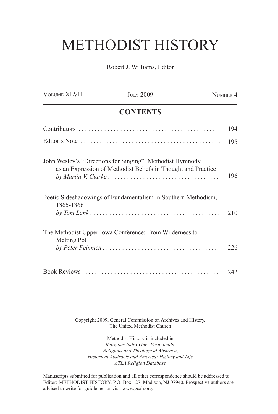## METHODIST HISTORY

Robert J. Williams, Editor

| <b>VOLUME XLVII</b> | <b>JULY 2009</b>                                                                                                           | NUMBER 4 |
|---------------------|----------------------------------------------------------------------------------------------------------------------------|----------|
|                     | <b>CONTENTS</b>                                                                                                            |          |
|                     |                                                                                                                            | 194      |
|                     |                                                                                                                            | 195      |
|                     | John Wesley's "Directions for Singing": Methodist Hymnody<br>as an Expression of Methodist Beliefs in Thought and Practice | 196      |
| 1865-1866           | Poetic Sideshadowings of Fundamentalism in Southern Methodism,                                                             | 210      |
| Melting Pot         | The Methodist Upper Iowa Conference: From Wilderness to                                                                    | 226      |
|                     |                                                                                                                            | 242      |

Copyright 2009, General Commission on Archives and History, The United Methodist Church

Methodist History is included in *Religious Index One: Periodicals, Religious and Theological Abstracts, Historical Abstracts and America: History and Life ATLA Religion Database*

Manuscripts submitted for publication and all other correspondence should be addressed to Editor: METHODIST HISTORY, P.O. Box 127, Madison, NJ 07940. Prospective authors are advised to write for guidleines or visit www.gcah.org.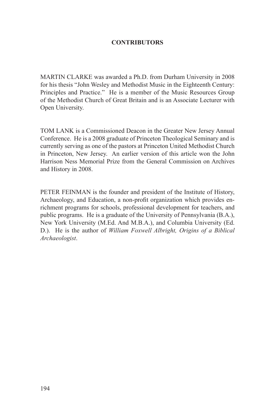### **CONTRIBUTORS**

MARTIN CLARKE was awarded a Ph.D. from Durham University in 2008 for his thesis "John Wesley and Methodist Music in the Eighteenth Century: Principles and Practice." He is a member of the Music Resources Group of the Methodist Church of Great Britain and is an Associate Lecturer with Open University.

TOM LANK is a Commissioned Deacon in the Greater New Jersey Annual Conference. He is a 2008 graduate of Princeton Theological Seminary and is currently serving as one of the pastors at Princeton United Methodist Church in Princeton, New Jersey. An earlier version of this article won the John Harrison Ness Memorial Prize from the General Commission on Archives and History in 2008.

PETER FEINMAN is the founder and president of the Institute of History, Archaeology, and Education, a non-profit organization which provides enrichment programs for schools, professional development for teachers, and public programs. He is a graduate of the University of Pennsylvania (B.A.), New York University (M.Ed. And M.B.A.), and Columbia University (Ed. D.). He is the author of *William Foxwell Albright, Origins of a Biblical Archaeologist*.